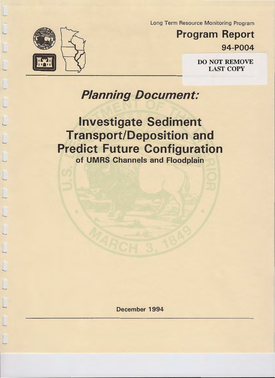



'--

'--

Program Report 94-P004

LAST COPY

# Planning Document:

Investigate Sediment Transport/Deposition and Predict Future Configuration of UMRS Channels and Floodplain

December 1994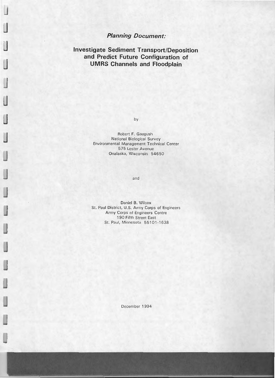# **Planning Document:**

**Investigate Sediment Transport/Deposition and Predict Future Configuration of UMRS Channels and Floodplain** 

by

Robert F. Gaugush National Biological Survey Environmental Management Technical Center 575 Lester Avenue Onalaska, Wisconsin 54650

and

Daniel B. Wilcox St. Paul District, U.S. Army Corps of Engineers Army Corps of Engineers Centre 1 90 Fifth Street East St. Paul, Minnesota 55101-1638

December 1994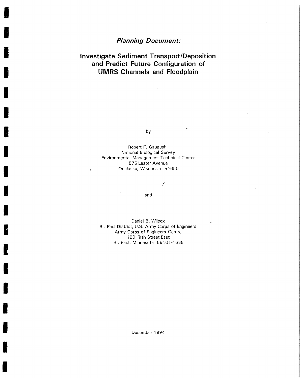# **Planning Document:**

I

I

I

I

I

I

I

I

I

I

I

I

I

I

I

I

I

I

I

# **Investigate Sediment Transport/Deposition and Predict Future Configuration of UMRS Channels and Floodplain**

by

Robert F. Gaugush National Biological Survey Environmental Management Technical Center 575 Lester Avenue Onalaska, Wisconsin 54650

and

/

Daniel B. Wilcox St. Paul District, U.S. Army Corps of Engineers Army Corps of Engineers Centre 190 Fifth Street East St. Paul, Minnesota 55101-1638

December 1994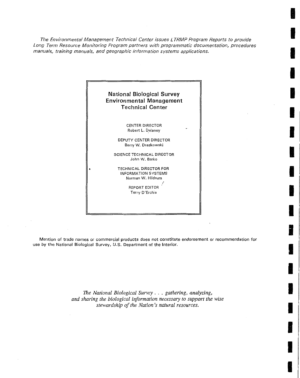The Environmental Management Technical Center issues L TRMP Program Reports to provide Long Term Resource Monitoring Program partners with programmatic documentation, procedures manuals, training manuals, and geographic information systems applications.

**INC.** 

I

I

**Inchester** 

I

I

I

**I** 

I

I

i<br>I

I

I

I

I

I

I

I



Mention of trade names or commercial products does not constitute endorsement or recommendation for use by the National Biological Survey, U.S. Department of the Interior.

> *The National Biological Survey .* . . *gathering, analyzing, and sharing the biological information necessary to support the wise stewardship of the Nation's natural resources.*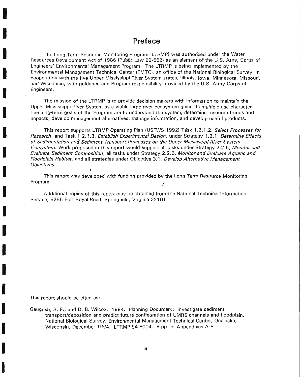## **Preface**

The Long Term Resource Monitoring Program (LTRMP) was authorized under the Water Resources Development Act of 1986 (Public Law 99-662) as an element of the U.S. Army Corps of Engineers' Environmental Management Program. The LTRMP is being implemented by the Environmental Management Technical Center (EMTC), an office of the National Biological Survey, in cooperation with the five Upper Mississippi River System states, Illinois, Iowa, Minnesota, Missouri, and Wisconsin, with guidance and Program responsibility provided by the U.S. Army Corps of Engineers.

The mission of the LTRMP is to provide decision makers with information to maintain the Upper Mississippi River System as a viable large river ecosystem given its multiple-use character. The long-term goals of the Program are to understand the system, determine resource trends and impacts, develop management alternatives, manage information, and develop useful products.

This report supports LTRMP Operating Plan (USFWS 1992) Task 1.2.1.2, Select Processes for Research, and Task 1.2.1.3, Establish Experimentai Design, under Strategy 1.2.1, Determine Effects of Sedimentation and Sediment Transport Processes on the Upper Mississippi River System Ecosystem. Work proposed in this report would support all tasks under Strategy 2.2.5, Monitor and Evaluate Sediment Composition, all tasks under Strategy 2.2.6, Monitor and Evaluate Aquatic and Floodplain Habitat, and all strategies under Objective 3.1, Develop Alternative Management Objectives.

This report was developed with funding provided by the Long Term Resource Monitoring Program.

Additional copies of this report may be obtained from the National Technical Information Service, 5285 Port Royal Road, Springfield, Virginia 22161.

This report should be cited as:

I

I

I

I

I

I

I

I

I

I

I

I

I

I

I

I

I

I

I

Gaugush, R. F., and D. B. Wilcox. 1994. Planning Document: Investigate sediment transport/deposition and predict future configuration of UMRS channels and floodplain. National Biological Survey, Environmental Management Technical Center, Onalaska, Wisconsin, December 1994. LTRMP 94-P004. 9 pp. + Appendixes A-E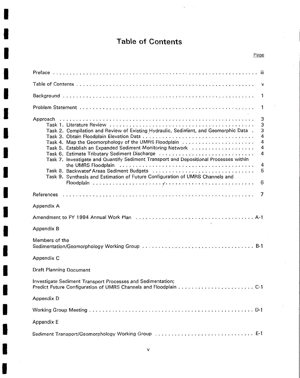# **Table of Contents**

I

I

**.I** 

I

I

I

I

I

I

I

I

I

I

I

I

I

I

I

| v                                                                                                                                                                                                                                                                                                                                                                                                                                                                                                                                  |
|------------------------------------------------------------------------------------------------------------------------------------------------------------------------------------------------------------------------------------------------------------------------------------------------------------------------------------------------------------------------------------------------------------------------------------------------------------------------------------------------------------------------------------|
| 1                                                                                                                                                                                                                                                                                                                                                                                                                                                                                                                                  |
| 1                                                                                                                                                                                                                                                                                                                                                                                                                                                                                                                                  |
| 3<br>3<br>3<br>Task 2. Compilation and Review of Existing Hydraulic, Sediment, and Geomorphic Data.<br>4<br>4<br>Task 4. Map the Geomorphology of the UMRS Floodplain<br>4<br>Task 5. Establish an Expanded Sediment Monitoring Network<br>4<br>Task 6. Estimate Tributary Sediment Discharge<br>Task 7. Investigate and Quantify Sediment Transport and Depositional Processes within<br>4<br>5<br>Task 8. Backwater Areas Sediment Budgets<br>Task 9. Synthesis and Estimation of Future Configuration of UMRS Channels and<br>6 |
| 7                                                                                                                                                                                                                                                                                                                                                                                                                                                                                                                                  |
| Appendix A                                                                                                                                                                                                                                                                                                                                                                                                                                                                                                                         |
|                                                                                                                                                                                                                                                                                                                                                                                                                                                                                                                                    |
| Appendix B                                                                                                                                                                                                                                                                                                                                                                                                                                                                                                                         |
| Members of the                                                                                                                                                                                                                                                                                                                                                                                                                                                                                                                     |
| Appendix C                                                                                                                                                                                                                                                                                                                                                                                                                                                                                                                         |
| Draft Planning Document                                                                                                                                                                                                                                                                                                                                                                                                                                                                                                            |
| Investigate Sediment Transport Processes and Sedimentation;                                                                                                                                                                                                                                                                                                                                                                                                                                                                        |
| Appendix D                                                                                                                                                                                                                                                                                                                                                                                                                                                                                                                         |
|                                                                                                                                                                                                                                                                                                                                                                                                                                                                                                                                    |
| Appendix E                                                                                                                                                                                                                                                                                                                                                                                                                                                                                                                         |
| Sediment Transport/Geomorphology Working Group  E-1                                                                                                                                                                                                                                                                                                                                                                                                                                                                                |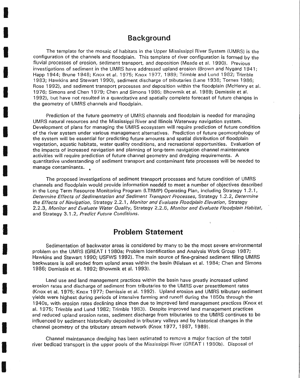### **Background**

 $\label{eq:2.1} \frac{1}{\left(1-\lambda\right)^{2}+1} \sum_{i=1}^{n} \frac{1}{\lambda_{i}} \left(1-\lambda\right)^{2} \left(1-\lambda\right)^{2}$ 

I

I

I

I

I

I

I

I

I

I

I

I

 $\frac{1}{2}$ 

I

I

I

I

I

The template for the mosaic of habitats in the Upper Mississippi River System (UMRS) is the configuration of the channels and floodplain. This template of river configuration is formed by the fluvial processes of erosion, sediment transport, and deposition (Meade et al. 1990). Previous investigations of sediment in the UMRS have addressed upland erosion (Brown and Nygard 1941; Happ 1944; Brune 1948; Knox et al. 1975; Knox 1977, 1989; Trimble and Lund 1982; Trimble 1983; Hawkins and Stewart 1990), sediment discharge of tributaries (Lane 1938; Tornes 1986; Rose 1992), and sediment transport processes and deposition within the floodplain (McHenry et al. 1976; Simons and Chen 1979; Chen and Simons 1986; Bhowmik et al. 1989; Demissie et al. 1992), but have not resulted in a quantitative and spatially complete forecast of future changes in the geometry of UMRS channels and floodplain.

Prediction of the future geometry of UMRS channels and floodplain is needed for managing UMRS natural resources and the Mississippi River and Illinois Waterway navigation system. Development of plans for managing the UMRS ecosystem will require prediction of future condition of the river system under various management alternatives. Prediction of future geomorphology of the system will be essential for predicting future amounts and spatial distribution of floodplain vegetation, aquatic habitats, water quality conditions, and recreational opportunities. Evaluation of the impacts of increased navigation and planning of long-term navigation channel maintenance activities will require prediction of future channel geometry and dredging requirements. A quantitative understanding of sediment transport and contaminant fate processes will be needed to manage contaminants.

The proposed investigations of sediment transport processes and future condition of UMRS channels and floodplain would provide information neede'd to meet a number of objectives described in the Long Term Resource Monitoring Program (LTRMP) Operating Plan, including Strategy 1.2.1, Determine Effects of Sedimentation and Sediment Transport Processes, Strategy 1 .2.2, Determine the Effects of Navigation, Strategy 2.2.1, Monitor and Evaluate Floodplain Elevation, Strategy 2.2.3, Monitor and Evaluate Water Quality, Strategy 2.2.6, Monitor and Evaluate Floodplain Habitat, and Strategy 3.1.2, Predict Future Conditions.

### **Problem Statement**

Sedimentation of backwater areas is considered by many to be the most severe environmental problem on the UMRS (GREAT I 1980a; Problem Identification and Analysis Work Group 1987; Hawkins and Stewart 1990; USFWS 1992). The main source of fine-grained sediment filling UMRS backwaters is soil eroded from upland areas within the basin (Nielsen et al. 1 984; Chen and Simons 1986; Demissie et al. 1992; Bhowmik et al. 1993).

Land use and land management practices within the basin have greatly increased upland erosion rates and discharge of sediment from tributaries to the UMRS over presettlement rates (Knox et al. 1975; Knox 1977; Demissie et al. 1992). Upland erosion and UMRS tributary sediment yields were highest during periods of intensive farming and runoff during the 1 850s through the 1940s, with erosion rates declining since then due to improved land management practices (Knox et al. 1975; Trimble and Lund 1982; Trimble 1983). Despite improved land management practices and reduced upland erosion rates, sediment discharge from tributaries to the UMRS continues to be influenced by sediment historically deposited in tributary valleys and by historical changes in the channel geometry of the tributary stream network (Knox 1977, 1987, 1989).

Channel maintenance dredging has been estimated to remove a major fraction of the total river bedload transport in the upper pools of the Mississippi River (GREAT I 1980b). Disposal of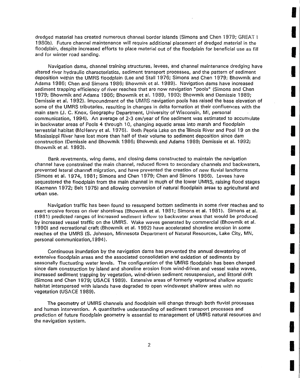dredged material has created numerous channel border islands (Simons and Chen 1979; GREAT I 1980b}. Future channel maintenance will require additional placement of dredged material in the floodplain, despite increased efforts to place material out of the floodplain for beneficial use as fill and for winter road sanding.

**ISTS AND** 

I

I

I

**I** 

I

I

 $\label{eq:2.1} \mathcal{L}^{\text{H}}(\mathcal{L}) = \mathbb{E} \left[ \begin{array}{c} \mathcal{L}^{\text{H}}(\mathcal{L}) \\ \mathcal{L}^{\text{H}}(\mathcal{L}) \end{array} \right]$ 

**I** 

I

**INST** 

**I** 

I

I

I

**I** 

**INSTALLS** 

I

**I** 

Navigation dams, channel training structures, levees, and channel maintenance dredging have altered river hydraulic characteristics, sediment transport processes, and the pattern of sediment deposition within the UMRS floodplain (Lee and Stall 1976; Simons and Chen 1979; Bhowmik and Adams 1986; Chen and Simons 1986; Bhowmik et al. 1989). Navigation dams have increased sediment trapping efficiency of river reaches that are now navigation "pools" (Simons and Chen 1979; Bhowmik and Adams 1986; Bhowmik et al. 1989, 1993; Bhowmik and Demissie 1989; Demissie et al. 1992). Impoundment of the UMRS navigation pools has raised the base elevation of some of the UMRS tributaries, resulting in changes in delta formation at their confluences with the main stem (J. C. Knox, Geography Department, University of Wisconsin, Ml, personal communication, 1994). An average of 2-3 em/year of fine sediment was estimated to accumulate in backwater areas of Pools 4 through 10, changing aquatic areas into marsh and floodplain terrestrial habitat (McHenry et al. 1976). Both Peoria Lake on the Illinois River and Pool 19 on the Mississippi River have lost more than half of their volume to sediment deposition since dam construction (Demissie and Bhowmik 1986; Bhowmik and Adams 1989; Demissie et al. 1992; Bhowmik et al. 1993}.

Bank revetments, wing dams, and closing dams constructed to maintain the navigation channel have constrained the main channel, reduced flows to secondary channels and backwaters, prevented lateral channefl migration, and have prevented the creation of new fluvial landforms (Simons et al. 1974, 1981; Simons and Chen 1979; Chen and Simons 1986}. Levees have sequestered the floodplain from the main channel in much of the lower UMRS, raising flood stages (Kazmann 1972; Belt 1975} and allowing conversion of 'natural floodplain areas to agricultural and urban use.

Navigation traffic has been found to resuspend bottom sediments in some river reaches and to exert erosive forces on river shorelines (Bhowmik et al. 1981; Simons et al. 1981). Simons et al. (1981) predicted ranges of increased sediment inflow to backwater areas that would be produced by increased vessel traffic on the UMRS. Wake waves generated by commercial (Bhowmik et al. 1990} and recreational craft (Bhowmik et al. 1992) have accelerated shoreline erosion in some reaches of the UMRS (S. Johnson, Minnesota Department of Natural Resources, Lake City, MN, personal communication, 1994).

Continuous inundation by the navigation dams has prevented the annual dewatering of extensive floodplain areas and the associated consolidation and oxidation of sediments by seasonally fluctuating water levels. The configuration of the UMRS floodplain has been changed since dam construction by island and shoreline erosion from wind-driven and vessel wake waves, increased sediment trapping by vegetation, wind-driven sediment resuspension, and littoral drift (Simons and Chen 1979; USACE 1989). Extensive areas of formerly vegetated shallow aquatic habitat interspersed with islands have degraded to open windswept shallow areas with no vegetation (USACE 1989).

The geometry of UMRS channels and floodplain will change through both fluvial processes and human intervention. A quantitative understanding of sediment transport processes and prediction of future floodplain geometry is essential to management of UMRS natural resources and the navigation system.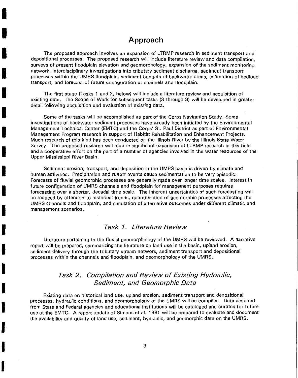# **Approach**

I

I

I

I

I

I

I

I

I

I

I

I

I

I

I

I

**I·** 

I

I

The proposed approach involves an expansion of LTRMP research in sediment transport and depositional processes. The proposed research will include literature review and data compilation, surveys of present floodplain elevation and geomorphology, expansion of the sediment monitoring network, interdisciplinary investigations into tributary sediment discharge, sediment transport processes within the UMRS floodplain, sediment budgets of backwater areas, estimation of bedload transport, and forecast of future configuration of channels and floodplain.

The first stage (Tasks 1 and 2, below) will include a literature review and acquisition of existing data. The Scope of Work for subsequent tasks (3 through 9) will be developed in greater detail following acquisition and evaluation of existing data.

Some of the tasks will be accomplished as part of the Corps Navigation Study. Some investigations of backwater sediment processes have already been initiated by the Environmental Management Technical Center (EMTC) and the Corps' St. Paul District as part of Environmental Management Program research in support of Habitat Rehabilitation and Enhancement Projects. Much research of this kind has been conducted on the Illinois River by the Illinois State Water Survey. The proposed research will require significant expansion of LTRMP research in this field and a cooperative effort on the part of a number of agencies involved in the water resources of the Upper Mississippi River Basin.

Sediment erosion, transport, and deposition in the UMRS basin is driven by climate and human activities. Precipitation and runoff events cause sedimentation to be very episodic. Forecasts of fluvial geomorphic processes are generally made over longer time scales. Interest in future configuration of UMRS channels and floodplain for management purposes requires forecasting over a shorter, decadal time scale. The inherent uncertainties of such forecasting will be reduced by attention to historical trends, quantification of geomorphic processes affecting the UMRS channels and floodplain, and simulation of alternative outcomes under different climatic and management scenarios.

### Task 1. Literature Review

Literature pertaining to the fluvial geomorphology of the UMRS will be reviewed. A narrative report will be prepared, summarizing the literature on land use in the basin, upland erosion, sediment delivery through the tributary stream network, sediment transport and depositional processes within the channels and floodplain, and geomorphology of the UMRS.

### Task 2. Compilation and Review of Existing Hydraulic, Sediment, and Geomorphic Data

Existing data on historical land use, upland erosion, sediment transport and depositional processes, hydraulic conditions, and geomorphology of the UMRS will be compiled. Data acquired from State and Federal agencies and educational institutions will be cataloged and curated for future use at the EMTC. A report update of Simons et al. 1981 will be prepared to evaluate and document the availability and quality of land use, sediment, hydraulic, and geomorphic data on the UMRS.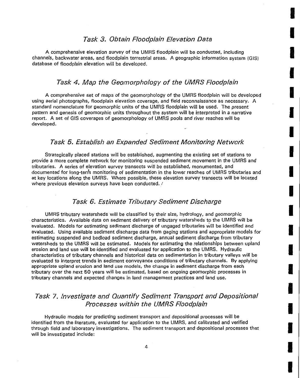### Task 3. Obtain Floodplain Elevation Data

I

I

**.I** 

I

I

I

I

I

I

I

I

I

I

I

**I** 

I

**I** 

I

I

A comprehensive elevation survey of the UMRS floodplain will be conducted, including channels, backwater areas, and floodplain terrestrial areas. A geographic information system (GIS) database of floodplain elevation will be developed.

### Task 4. Map the Geomorphology of the UMRS Floodplain

A comprehensive set of maps of the geomorphology of the UMRS floodplain will be developed using aerial photographs, floodplain elevation coverage, and field reconnaissance as necessary. A standard nomenclature for geomorphic units of the UMRS floodplain will be used. The present pattern and genesis of geomorphic units throughout the system will be interpreted in a narrative report. A set of GIS coverages of geomorphology of UMRS pools and river reaches will be developed.

### Task 5. Establish an Expanded Sediment Monitoring Network

Strategically placed stations will be established, augmenting the existing set of stations to provide a more complete network for monitoring suspended sediment movement in the UMRS and tributaries. A series of elevation survey transects will be established, monumented, and documented for long-term monitoring of sedimentation in the lower reaches of UMRS tributaries and at key locations along the UMRS. Where possible, these elevation survey transects will be located where previous elevation surveys have been conducted. /

### Task 6. Estimate Tributary Sediment Discharge

UMRS tributary watersheds will be classified by their size, hydrology, and geomorphic ·characteristics. Available data on sediment delivery of tributary watersheds to the UMRS will be evaluated. Models for estimating sediment discharge of ungaged tributaries will be identified and evaluated. Using available sediment discharge data from gaging stations and appropriate models for estimating suspended and bedload sediment discharge, annual sediment discharge from tributary watersheds to the UMRS will be estimated. Models for estimating the relationships between upland erosion and land use will be identified and evaluated for application to the UMRS. Hydraulic characteristics of tributary channels and historical data on sedimentation in tributary valleys will be evaluated to interpret trends in sediment conveyance conditions of tributary channels. By applying appropriate upland erosion and land use models, the change in sediment discharge from each tributary over the next 50 years will be estimated, based on ongoing geomorphic processes in tributary channels and expected changes in land management practices and land use.

# Task 7. Investigate and Quantify Sediment Transport and Depositional Processes within the UMRS Floodplain

Hydraulic models for predicting sediment transport and depositional processes will be identified from the literature, evaluated for application to the UMRS, and calibrated and verified through field and laboratory investigations. The sediment transport and depositional processes that will be investigated include: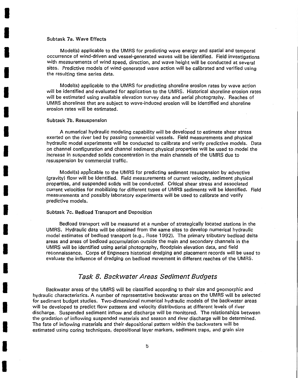#### Subtask 7a. Wave Effects

I

I

I

I

I

I

I

I

I

I

I

I

I

I

I

I

I

I

I

Model(s) applicable to the UMRS for predicting wave energy and spatial and temporal occurrence of wind-driven and vessel-generated waves will be identified. Field investigations with measurements of wind speed, direction, and wave height will be conducted at several sites. Predictive models of wind-generated wave action will be calibrated and verified using the resulting time series data.

Model(s) applicable to the UMRS for predicting shoreline erosion rates by wave action will be identified and evaluated for application to the UMRS. Historical shoreline erosion rates will be estimated using available elevation survey data and aerial photography. Reaches of UMRS shorelines that are subject to wave-induced erosion will be identified and shoreline erosion rates will be estimated.

#### Subtask 7b. Resuspension

A numerical hydraulic modeling capability will be developed to estimate shear stress exerted on the river bed by passing commercial vessels. Field measurements and physical hydraulic model experiments will be conducted to calibrate and verify predictive models. Data on channel configuration and channel sediment physical properties will be used to model the increase in suspended solids concentration in the main channels of the UMRS due to resuspension by commercial traffic.

Model(s) appiicable to the UMRS for predicting sediment resuspension by advective (gravity) flow will be identified. Field measurements of current velocity, sediment physical properties, and suspended solids will be conducted: Critical shear stress and associated current velocities for mobilizing for different types of UMRS sediments will be identified. Field measurements and possibly laboratory experiments will be used to calibrate and verify predictive models.

#### Subtask 7c. Bedload Transport and Deposition

Bedload transport will be measured at a number of strategically located stations in the UMRS. Hydraulic data will be obtained from the same sites to develop numerical hydraulic model estimates of bedload transport (e.g., Rose 1992). The primary tributary bedload delta areas and areas of bedload accumulation outside the main and secondary channels in the UMRS will be identified using aerial photography, floodplain elevation data, and field reconnaissance. Corps of Engineers historical dredging and placement records will be used to evaluate the influence of dredging on bedload movement in different reaches of the UMRS.

#### Task 8. Backwater Areas Sediment Budgets

Backwater areas of the UMRS will be classified according to their size and geomorphic and hydraulic characteristics. A number of representative backwater areas on the UMRS will be selected for sediment budget studies. Two-dimensional numerical hydraulic models of the backwater areas will be developed to predict flow patterns and velocity distributions at different levels of river discharge. Suspended sediment inflow and discharge will be monitored. The relationships between the gradation of inflowing suspended materials and season and river discharge will be determined. The fate of inflowing materials and their depositional pattern within the backwaters will be estimated using coring techniques, depositional layer markers, sediment traps, and grain size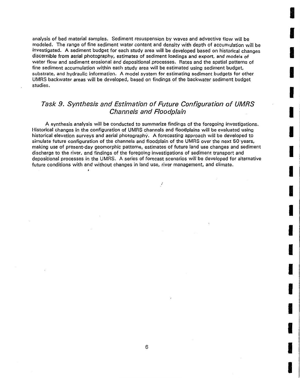analysis of bed material samples. Sediment resuspension by waves and advective flow will be modeled. The range of fine sediment water content and density with depth of accumulation will be investigated. A sediment budget for each study area will be developed based on historical changes discernible from aerial photography, estimates of sediment loadings and export, and models of water flow and sediment erosional and depositional processes. Rates and the spatial patterns of fine sediment accumulation within each study area will be estimated using sediment budget, substrate, and hydraulic information. A model system for estimating sediment budgets for other UMRS backwater areas will be developed, based on findings of the backwater sediment budget studies.

**I** 

I

I

I

I

I

I

I

I

**I** 

I

I

I

I

I

I

I

I

I

# Task 9. Synthesis and Estimation of Future Configuration of UMRS Channels and Floodplain

A synthesis analysis will be conducted to summarize findings of the foregoing investigations. Historical changes in the configuration of UMRS channels and floodplains will be evaluated using historical elevation surveys and aerial photography. A forecasting approach will be developed to simulate future configuration of the channels and floodplain of the UMRS over the next 50 years, making use of present-day geomorphic patterns, estimates of future land use changes and sediment discharge to the river, and findings of the foregoing investigations of sediment transport and depositional processes in the UMRS. A series of forecast scenarios will be developed for alternative future conditions with and without changes in land use, river management, and climate.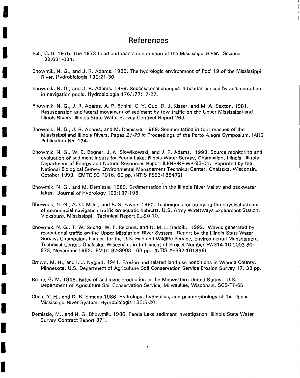# **References**

Belt, C. B. 1975. The 1973 flood and man's constriction of the Mississippi River. Science 189:681-684.

I

I

I

I

I

I

I

I

I

I

I

I

I

I

I

I

I

I

- Bhowmik, N. G., and J. R. Adams. 1986. The hydrologic environment of Pool 19 of the Mississippi River. Hydrobiologia 136:21-30.
- Bhowmik, N. G., and J. R. Adams. 1989. Successional changes in habitat caused by sedimentation in navigation pools. Hydrobiologia 176/177:17-27.
- Bhowmik, N. G., J. R. Adams, A. P. Bonini, C. Y. Guo, D. J. Kisser, and M.A. Sexton. 1981. Resuspension and lateral movement of sediment by tow traffic on the Upper Mississippi and Illinois Rivers. Illinois State Water Survey Contract Report 269.
- Bhowmik, N. G., J. R. Adams, and M. Demissie. 1989. Sedimentation in four reaches of the Mississippi and Illinois Rivers. Pages 21-29 *in* "Proceedings of the Porto Alegre Symposium. IAHS Publication No. 174.
- Bhowmik, N. G., W. C. Bogner, J. A. Slowikowski, and J. R. Adams. 1993. Source monitoring and evaluation of sediment inputs for Peoria Lake. Illinois Water Survey, Champaign, Illinois. Illinois Department of Energy and Natural Resources Report ILENR/RE-WR-93-01. Reprinted by the National Biological Survey Environmental Management Technical Center, Onalaska, Wisconsin, October 1993. EMTC 93-R016. 60 pp. (NTIS PB93-188472)
- Bhowmik, N. G., and M. Demissie. 1989. Sedimentation in the Illinois River Valley and backwater lakes. Journal of Hydrology 105:187-195.
- Bhowmik, N. G., A. C. Miller, and B. S. Payne. 1990. Techniques for studying the physical effects of commercial navigation traffic on aquatic habitats. U.S. Army Waterways Experiment Station, Vicksburg, Mississippi. Technical Report EL-90-10.
- Bhowmik, N. G., T. W. Soong, W. F. Reichelt, and N. M. L. Seddik. 1992. Waves generated by recreational traffic on the Upper Mississippi River System. Report by the Illinois State Water Survey, Champaign, Illinois, for the U.S. Fish and Wildlife Service, Environmental Management Technical Center, Onalaska, Wisconsin, in fulfillment of Project Number FWS 14-1 6-0003-80- 973, November 1992. EMTC 92-S003. 68 pp. (NTIS #PB92-161868)
- Brown, M. H., and I. J. Nygard. 1941. Erosion and related land use conditions in Winona County, Minnesota. U.S. Department of Agriculture Soil Conservation Service Erosion Survey 17. 33 pp.
- Brune, G. M. 1948. Rates of sediment production in the Midwestern United States. U.S. Department of Agriculture Soil Conservation Service, Milwaukee, Wisconsin. SCS-TP-65.
- Chen, Y. H., and D. B. Simons 1986. Hydrology, hydraulics, and geomorphology of the Upper Mississippi River System. Hydrobiologia 136:5-20.
- Demissie, M., and N. G. Bhowmik. 1986. Peoria Lake sediment investigation. Illinois State Water Survey Contract Report 371.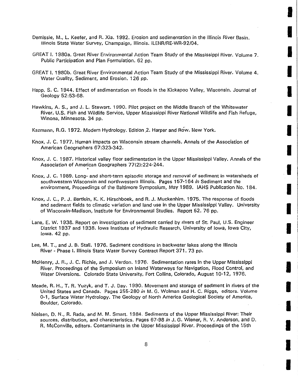- Demissie, M., L. Keefer, and R. Xia. 1992. Erosion and sedimentation in the Illinois River Basin. Illinois State Water Survey, Champaign, Illinois. ILENR/RE-WR-92/04.
- GREAT I. 1980a. Great River Environmental Action Team Study of the Mississippi River. Volume 7. Public Participation and Plan Formulation. 62 pp.

**ISSUED** 

**In the contract of the contract of the contract of the contract of the contract of the contract of the contract of the contract of the contract of the contract of the contract of the contract of the contract of the contra** 

**I** 

 $\label{eq:2.1} \frac{1}{2} \sum_{i=1}^n \frac{1}{2} \sum_{j=1}^n \frac{1}{2} \sum_{j=1}^n \frac{1}{2} \sum_{j=1}^n \frac{1}{2} \sum_{j=1}^n \frac{1}{2} \sum_{j=1}^n \frac{1}{2} \sum_{j=1}^n \frac{1}{2} \sum_{j=1}^n \frac{1}{2} \sum_{j=1}^n \frac{1}{2} \sum_{j=1}^n \frac{1}{2} \sum_{j=1}^n \frac{1}{2} \sum_{j=1}^n \frac{1}{2} \sum_{j=1}^n \frac{$ 

I

**I** 

I

I

I

**ISBN** 

I

I

I

I

I

I

I

I

I

- GREAT I. 1980b. Great River Environmental Action Team Study of the Mississippi River. Volume 4. Water Quality, Sediment, and Erosion. 126 pp.
- Happ, S. C. 1944. Effect of sedimentation on floods in the Kickapoo Valley, Wisconsin. Journal of Geology 52:53-68.
- Hawkins, A. S., and J. L. Stewart. 1990. Pilot project on the Middle Branch of the Whitewater River. U.S. Fish and Wildlife Service, Upper Mississippi River National Wildlife and Fish Refuge, Winona, Minnesota. 34 pp.

Kazmann, R.G. 1972. Modern Hydrology. Edition 2. Harper and Row. New York.

- Knox, J. C. 1977. Human impacts on Wisconsin stream channels. Annals of the Association of American Geographers 67:323-342.
- Knox, J. C. 1987. Historical valley floor sedimentation in the Upper Mississippi Valley. Annals of the Association of American Geographers 77(2):224-244.
- Knox, J. C. 1989. Long- and short-term episodic storage and removal of sediment in watersheds of southwestern Wisconsin and northwestern Illinois. Pages 157-164 *in* Sediment and the environment, Proceedings of the Baltimore Symposium, May 1989. IAHS Publication No. 184.
- Knox, J. C., P. J. Bartlein, K. K. Hirschboek, and R. J. Muckenhirn. 1975. The response of floods and sediment fields to climatic variation and land use in the Upper Mississippi Valley. University of Wisconsin-Madison, Institute for Environmental Studies. Report 52. 76 pp.
- Lane, E. W. 1938. Report on investigation of sediment carried by rivers of St; Paul, U.S. Engineer District 1937 and 1938. Iowa Institute of Hydraulic Research, University of Iowa, Iowa City, Iowa. 42 pp.
- Lee, M. T., and J. B. Stall. 1976. Sediment conditions in backwater lakes along the Illinois River- Phase I. Illinois State Water Survey Contract Report 371 . 73 pp.
- McHenry, J. R., J. C. Richie, and J. Verdon. 1976. Sedimentation rates in the Upper Mississippi River. Proceedings of the Symposium on Inland Waterways for Navigation, Flood Control, and Water Diversions. Colorado State University, Fort Collins, Colorado, August 10-12, 1976.
- Meade, R. H., T. R. Yuzyk, and T. J. Day. 1990. Movement and storage of sediment in rivers of the United States and Canada. Pages 255-280 *in* M.G. Wolman and H. C. Riggs, editors. Volume 0-1, Surface Water Hydrology. The Geology of North America Geological Society of America, Boulder, Colorado.
- Nielsen, D. N., R. Rada, and M. M. Smart. 1984. Sediments of the Upper Mississippi River: Their sources, distribution, and characteristics. Pages 67-98 *in* J. G. Wiener, R. V. Anderson, and D. R. McConville, editors. Contaminants in the Upper Mississippi River. Proceedings of the 15th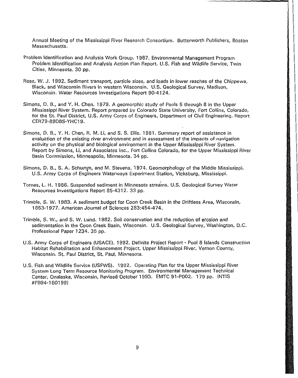Annual Meeting of the Mississippi River Research Consortium. Butterworth Publishers, Boston Massachusetts.

- Problem Identification and Analysis Work Group. 1 987. Environmental Management Program Problem Identification and Analysis Action Plan Report. U.S. Fish and Wildlife Service, Twin Cities, Minnesota. 30 pp.
- Rose, W. J. 1992. Sediment transport, particle sizes, and loads in lower reaches of the Chippewa, Black, and Wisconsin Rivers in western Wisconsin. U.S. Geological Survey, Madison, Wisconsin. Water Resources Investigations Report 90-4124.
- Simons, D. B., and Y. H. Chen. 1979. A geomorphic study of Pools 5 through 8 in the Upper Mississippi River System. Report prepared by Colorado State University, Fort Collins, Colorado, for the St. Paul District, U.S. Army Corps of Engineers, Department of Civil Engineering. Report CER79-89DBS-YHC19.
- Simons, D. B., Y. H. Chen, R. M. Li, and S. S. Ellis. 1981 . Summary report of assistance in evaluation of the existing river environment and in assessment of the impacts of navigation activity on the physical and biological environment in the Upper Mississippi River System. Report by Simons, Li, and Associates Inc., Fort Collins Colorado, for the Upper Mississippi River Basin Commission, Minneapolis, Minnesota. 34 pp.
- Simons, D. B., S. A. Schumm, and M. Stevens. 1974. Geomorphology of the Middle Mississippi. U.S. Army Corps of Engineers Waterways Experiment Station, Vicksburg, Mississippi.
- Tornes, L. H. 1986. Suspended sediment in Minnesota streams. U.S. Geological Survey Water Resources Investigations Report 85-4312. 33 pp.
- Trimble, S. W. 1983. A sediment budget for Coon Creek Basin in the Driftless Area, Wisconsin, 1853-1977. American Journal of Sciences 283:454-474 .
- . Trimble, S. W., and S. W. Lund. 1982. Soil conservation and the reduction of erosion and sedimentation in the Coon Creek Basin, Wisconsin. U.S. Geological Survey, Washington, D.C. Professional Paper 1234. 35 pp.
- U.S. Army Corps of Engineers (USAGE). 1992. Definite Project Report- Pool 8 Islands Construction Habitat Rehabilitation and Enhancement Project, Upper Mississippi River, Vernon County, Wisconsin. St. Paul District, St. Paul, Minnesota.
- U.S. Fish and Wildlife Service (USFWS). 1992. Operating Plan for the Upper Mississippi River System Long Term Resource Monitoring Program. Environmental Management Technical Center, Onalaska, Wisconsin, Revised October 1993. EMTC 91 -P002. 179 pp. (NTIS #PB94-160199)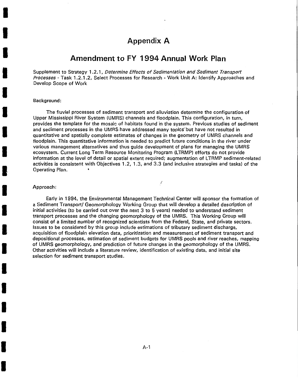# **Appendix A**

### **Amendment to FY 1994 Annual Work Plan**

Supplement to Strategy 1.2.1, Determine Effects of Sedimentation and Sediment Transport Processes- Task 1.2.1.2, Select Processes for Research- Work Unit A: Identify Approaches and Develop Scope of Work

#### Background:

I

I

I

I

I

I

I

I

I

I

I

I

I

I

I

I

I

I

I

The fluvial processes of sediment transport and alluviation determine the configuration of Upper Mississippi River System (UMRS) channels and floodplain. This configuration, in turn, provides the template for the mosaic of habitats found in the system. Previous studies of sediment and sediment processes in the UMRS have addressed many topics but have not resulted in quantitative and spatially complete estimates of changes in the geometry of UMRS channels and floodplain. This quantitative information is needed to predict future conditions in the river under various management alternatives and thus guide development of plans for managing the UMRS ecosystem. Current Long Term Resource Monitoring Program (LTRMP) efforts do not provide information at the level of detail or spatial extent required; augmentation of LTRMP sediment-related activities is consistent with Objectives 1.2, 1.3, and 3.3 (and inclusive strategies and tasks) of the Operating Plan.

I

#### Approach:

Early in 1994, the Environmental Management Technical Center will sponsor the formation of a Sediment Transport/ Geomorphology Working Group that will develop a detailed description of initial activities (to be carried out over the next 3 to 5 years) needed to understand sediment transport processes and the changing geomorphology of the UMRS. This Working Group will consist of a limited number of recognized scientists from the Federal, State, and private sectors. Issues to be considered by this group include estimations of tributary sediment discharge, acquisition of floodplain elevation data, prioritization and measurement of sediment transport and depositional processes, estimation of sediment budgets for UMRS pools and river reaches, mapping of UMRS geomorphology, and prediction of future changes in the geomorphology of the UMRS. Other activities will include a literature review, identification of existing data, and initial site selection for sediment transport studies.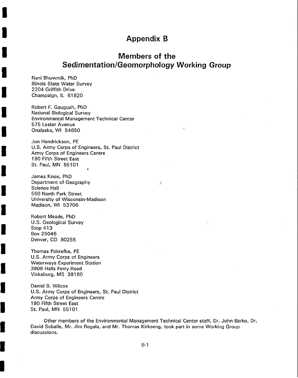# **Appendix B**

# **Members of the Sedimentation/Geomorphology Working Group**

I

Nani Bhowmik, PhD Illinois State Water Survey 2204 Griffith Drive Champaign, IL 61820

I

I

I

I

I

I

I

I

I

I

I

I

I

I

I

I

I

I

I

Robert F. Gaugush, PhD National Biological Survey Environmental Management Technical Center 575 Lester Avenue Onalaska, WI 54650

Jon Hendrickson, PE U.S. Army Corps of Engineers, St. Paul District Army Corps of Engineers Centre 1 90 Fifth Street East St. Paul, MN 55101

James Knox, PhD Department of Geography Science Hall 550 North Park Street University of Wisconsin-Madison Madison, WI 53706

. Robert Meade, PhD U.S. Geological Survey Stop 413 Box 25046 Denver, CO 80255

Thomas Pokrefke, PE U.S. Army Corps of Engineers Waterways Experiment Station 3909 Halls Ferry Road Vicksburg, MS 39180

Daniel B. Wilcox U.S. Army Corps of Engineers, St. Paul District Army Corps of Engineers Centre 1 90 Fifth Street East St. Paul, MN 55101

Other members of the Environmental Management Technical Center staff, Dr. John Barko, Dr. David Soballe, Mr. Jim Rogala, and Mr. Thomas Kirkeeng, took part in some Working Group discussions.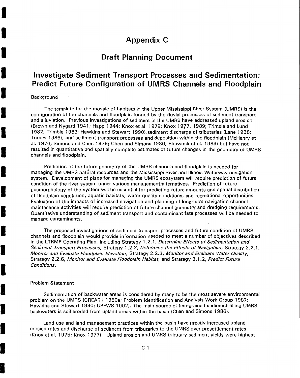# **Appendix C**

# **Draft Planning Document**

# **Investigate Sediment Transport Processes and Sedimentation; Predict Future Configuration of UMRS Channels and Floodplain**

#### Background

I

I

I

I

I

I

I

I

I

I

I

I

I

I

I

I

I

I

I

The template for the mosaic of habitats in the Upper Mississippi River System (UMRS) is the configuration of the channels and floodplain formed by the fluvial processes of sediment transport and alluviation. Previous investigations of sediment in the UMRS have addressed upland erosion (Brown and Nygard 1941; Happ 1944; Knox et al. 1975; Knox 19?7, 1989; Trimble and Lund 1982; Trimble 1983; Hawkins and Stewart 1990).sediment discharge of tributaries (Lane 1938; Tornes 1986), and sediment transport processes and deposition within the floodplain (McHenry et al. 1976; Simons and Chen 1979; Chen and Simons 1986; Bhowmik et al. 1989) but have not resulted in quantitative and spatially complete estimates of future changes in the geometry of UMRS channels and floodplain.

Prediction of the future geometry of the UMRS channels and floodplain is needed for managing the UMRS natural resources and the Mississippi River and Illinois Waterway navigation system. Development of plans for managing the UMRS ecosystem will require prediction of future condition of the river system under various management/alternatives. Prediction of future geomorphology of the system will be essential for predicting future amounts and spatial distribution of floodplain vegetation, aquatic habitats, water quality conditions, and recreational opportunities. Evaluation of the impacts of increased navigation and planning of long-term navigation channel maintenance activities will require prediction of future channel geometry and dredging requirements . Quantitative understanding of sediment transport and contaminant fate processes will be needed to . manage contaminants.

The proposed investigations of sediment transport processes and future condition of UMRS channels and floodplain would provide information needed to meet a number of objectives described in the LTRMP Operating Plan, including Strategy 1.2.1, Determine Effects of Sedimentation and Sediment Transport Processes, Strategy 1.2.2, Determine the Effects of Navigation, Strategy 2.2.1, Monitor and Evaluate Floodplain Elevation, Strategy 2.2.3, Monitor and Evaluate Water Quality, Strategy 2.2.6, Monitor and Evaluate Floodplain Habitat, and Strategy 3.1.2, Predict Future Conditions.

#### Problem Statement

Sedimentation of backwater areas is considered by many to be the most severe environmental problem on the UMRS (GREAT I 1980a; Problem Identification and Analysis Work Group 1987; Hawkins and Stewart 1990; USFWS 1992). The main source of fine-grained sediment filling UMRS backwaters is soil eroded from upland areas within the basin (Chen and Simons 1986).

Land use and land management practices within the basin have greatly increased upland erosion rates and discharge of sediment from tributaries to the UMRS over presettlement rates (Knox et al. 1975; Knox 1977). Upland erosion and UMRS tributary sediment yields were highest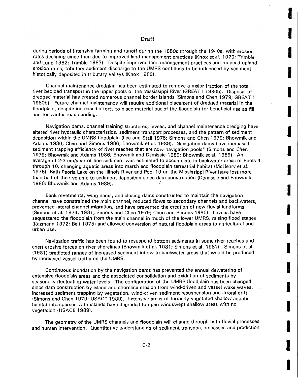in 1999<br>In 1999 of the United States

I

I

I

I

I

I

I

I

I

I

i<br>I

I

I

I

I

I

I

I

during periods of intensive farming and runoff during the 1 850s through the 1940s, with erosion rates declining since then due to improved land management practices (Knox et al. 1975; Trimble and Lund 1982; Trimble 1983). Despite improved land management practices and reduced upland erosion rates, tributary sediment discharge to the UMRS continues to be influenced by sediment historically deposited in tributary valleys (Knox 1989).

Channel maintenance dredging has been estimated to remove a major fraction of the total river bedload transport in the upper pools of the Mississippi River (GREAT I 1980b). Disposal of dredged material has created numerous channel border islands (Simons and Chen 1979; GREAT I 1980b). Future channel maintenance will require additional placement of dredged material in the floodplain, despite increased efforts to place material out of the floodplain for beneficial use as fill and for winter road sanding.

Navigation dams, channel training structures, levees, and channel maintenance dredging have altered river hydraulic characteristics, sediment transport processes, and the pattern of sediment deposition within the UMRS floodplain (Lee and Stall 1976; Simons and Chen 1979; Bhowmik and Adams 1986; Chen and Simons 1986; Bhowmik et al. 1989). Navigation dams have increased sediment trapping efficiency of river reaches that are now navigation pools" (Simons and Chen 1979; Bhowmik and Adams 1986; Bhowmik and Demissie 1989; Bhowmik et al. 1989). An average of 2-3 em/year of fine sediment was estimated to accumulate in backwater areas of Pools 4 through 10, changing aquatic areas into marsh and floodplain terrestrial habitat (McHenry et al. 1976). Both Peoria Lake on the Illinois River and Pool 19 on the Mississippi River have lost more than half of their volume to sediment deposition since dam construction (Demissie and Bhowmik 1986; Bhowmik and Adams 1989).

Bank revetments, wing dams, and closing dams constructed to maintain the navigation channel have constrained the main channel, reduced flows to secondary channels and backwaters, prevented lateral channel migration, and have prevented the creation of new fluvial landforms (Simons et al. 1974, 1981; Simons and Chen 1979; Chen and Simons 1986). Levees have . sequestered the floodplain from the main channel in much of the lower UMRS, raising flood stages (Kazmann 1972; Belt 1975) and allowed conversion of natural floodplain areas to agricultural and urban use.

Navigation traffic has been found to resuspend bottom sediments in some river reaches and exert erosive forces on river shorelines (Bhowmik et al. 1981; Simons et al. 1981 ). Simons et al. (1981) predicted ranges of increased sediment inflow to backwater areas that would be produced by increased vessel traffic on the UMRS.

Continuous inundation by the navigation dams has prevented the annual dewatering of extensive floodplain areas and the associated consolidation and oxidation of sediments by seasonally fluctuating water levels. The configuration of the UMRS floodplain has been changed since dam construction by island and shoreline erosion from wind-driven and vessel wake waves, increased sediment trapping by vegetation, wind-driven sediment resuspension and littoral drift (Simons and Chen 1979; USACE 1989). Extensive areas of formerly vegetated shallow aquatic habitat interspersed with islands have degraded to open windswept shallow areas with no vegetation (USACE 1989).

The geometry of the UMRS channels and floodplain will change through both fluvial processes and human intervention. Quantitative understanding of sediment transport processes and prediction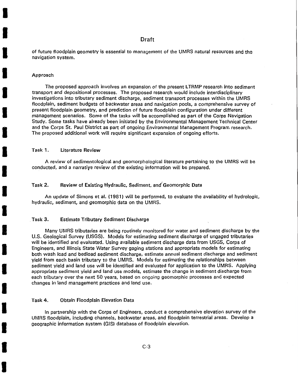of future floodplain geometry is essential to management of the UMRS natural resources and the navigation system.

#### Approach

I

I

I

I

I

I

I

I

I

I

I

I

I

I

I

I

I

I

I

The proposed approach involves an expansion of the present LTRMP research into sediment transport and depositional processes. The proposed research would include interdisciplinary investigations into tributary sediment discharge, sediment transport processes within the UMRS floodplain, sediment budgets of backwater areas and navigation pools, a comprehensive survey of present floodplain geometry, and prediction of future floodplain configuration under different management scenarios. Some of the tasks will be accomplished as part of the Corps Navigation Study. Some tasks have already been initiated by the Environmental Management Technical Center and the Corps St. Paul District as part of ongoing Environmental Management Program research. The proposed additional work will require significant expansion of ongoing efforts.

#### Task 1. Literature Review

A review of sedimentological and geomorphological literature pertaining to the UMRS will be conducted, and a narratiye review of the existing information will be prepared.

#### Task 2. Review of Existing Hydraulic, Sediment, and Geomorphic Data

An update of Simons et al. (1981) will be performed, to evaluate the availability of hydrologic, hydraulic, sediment, and geomorphic data on the UMRS.

#### . Task 3. Estimate Tributary Sediment Discharge

Many UMRS tributaries are being routinely monitored for water and sediment discharge by the U.S. Geological Survey (USGS). Models for estimating sediment discharge of ungaged tributaries will be identified and evaluated. Using available sediment discharge data from USGS, Corps of Engineers, and Illinois State Water Survey gaging stations and appropriate models for estimating both wash load and bedload sediment discharge, estimate annual sediment discharge and sediment yield from each basin tributary to the UMRS. Models for estimating the relationships between sediment yield and land use will be identified and evaluated for application to the UMRS. Applying appropriate sediment yield and land use models, estimate the change in sediment discharge from each tributary over the next 50 years, based on ongoing geomorphic processes and expected changes in land management practices and land use.

#### Task 4. Obtain Floodplain Elevation Data

In partnership with the Corps of Engineers, conduct a comprehensive elevation survey of the UMRS floodplain, including channels, backwater areas, and floodplain terrestrial areas. Develop a geographic information system (GIS) database of floodplain elevation.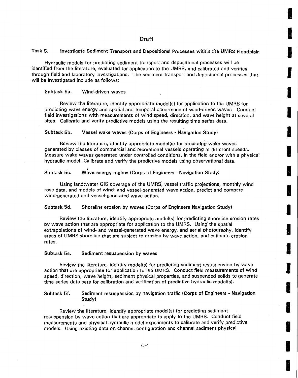I

I

I

I

I

I

I

I

I

I

I

I

I

I

I

I

I

I

I

#### Task 5. Investigate Sediment Transport and Depositional Processes within the UMRS Floodplain

Hydraulic models for predicting sediment transport and depositional processes will be identified from the literature, evaluated for application to the UMRS, and calibrated and verified through field and laboratory investigations. The sediment transport and depositional processes that will be investigated include as follows:

#### Subtask 5a. Wind-driven waves

Review the literature, identify appropriate model(s) for application to the UMRS for predicting wave energy and spatial and temporal occurrence of wind-driven waves. Conduct field investigations with measurements of wind speed, direction, and wave height at several sites. Calibrate and verify predictive models using the resulting time series data.

#### Subtask 5b. Vessel wake waves (Corps of Engineers - Navigation Study)

Review the literature, identify appropriate model(s) for predicting wake waves generated by classes of commercial and recreational vessels operating at different speeds. Measure wake waves generated under controlled conditions, in the field and/or with a physical hydraulic model. Calibrate and verify the predictive models using observational data.

#### • Subtask 5c. Wave energy regime (Corps of Engineers - Navigation Study)

Using land:water GIS coverage of the UMRS, vessel traffic projections, monthly wind rose data, and models of wind- and vessel-generated wave action, predict and compare wind-generated and vessel-generated wave action.

#### Subtask 5d. Shoreline erosion by waves (Corps of Engineers Navigation Study)

Review the literature, identify appropriate model(s) for predicting shoreline erosion rates by wave action that are appropriate for application to the UMRS. Using' the spatial extrapolations of wind- and vessel-generated wave energy, and aerial photography, identify areas of UMRS shoreline that are subject to erosion by wave action, and estimate erosion rates.

#### Subtask 5e. Sediment resuspension by waves

Review the literature, identify model(s) for predicting sediment resuspension by wave action that are appropriate for application to the UMRS. Conduct field measurements of wind speed, direction, wave height, sediment physical properties, and suspended solids to generate time series data sets for calibration and verification of predictive hydraulic model(s).

Subtask 5f. Sediment resuspension by navigation traffic (Corps of Engineers - Navigation Study)

Review the literature, identify appropriate model(s) for predicting sediment resuspension by wave action that are appropriate to apply to the UMRS. Conduct field measurements and physical hydraulic model experiments to calibrate and verify predictive models. Using existing data on channel configuration and channel sediment physical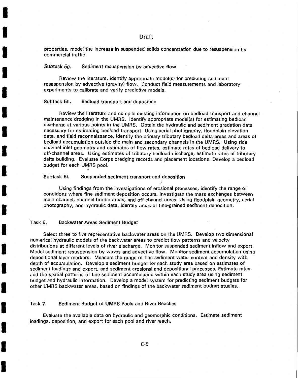properties, model the increase in suspended solids concentration due to resuspension by commercial traffic.

#### Subtask 5g. Sediment resuspension by advective flow

Review the literature, identify appropriate model(s) for predicting sediment resuspension by advective (gravity) flow. Conduct field measurements and laboratory experiments to calibrate and verify predictive models.

#### Subtask 5h. Bedload transport and deposition

I

I

I

I

I

I

I

I

I

I

I

I

I

I

I

I

I

I

I

Review the literature and compile existing information on bedload transport and channel maintenance dredging in the UMRS. Identify appropriate model(s) for estimating bedload discharge at various points in the UMRS. Obtain the hydraulic and sediment gradation data necessary for estimating bedload transport. Vsing aerial photography, floodplain elevation data, and field reconnaissance, identify the primary tributary bedload delta areas and areas of bedload accumulation outside the main and secondary channels in the UMRS. Using side channel inlet geometry and estimates of flow rates, estimate rates of bedload delivery to off-channel areas. Using estimates of tributary bedload discharge, estimate rates of tributary delta building. Evaluate Corps dredging records and placement locations. Develop a bedload budget for each UMRS pool. •

#### Subtask 5i. Suspended sediment transport and deposition

Using findings from the investigations of erosional processes, identify the range of conditions where fine sediment deposition occurs. Investigate the mass exchanges between main channel, channel border areas, and off-channel areas. Using floodplain geometry, aerial photography, and hydraulic data, identify areas of fine-grained sediment deposition.

I

#### Task 6. Backwater Areas Sediment Budget

Select three to five representative backwater areas on the UMRS. Develop two dimensional numerical hydraulic models of the backwater areas to predict flow patterns and velocity distributions at different levels of river discharge. Monitor suspended sediment inflow and export. Model sediment resuspension by waves and advective flow. Monitor sediment accumulation using depositional layer markers. Measure the range of fine sediment water content and density with depth of accumulation. Develop a sediment budget for each study area based on estimates of sediment loadings and export, and sediment erosional and depositional processes. Estimate rates and the spatial patterns of fine sediment accumulation within each study area using sediment budget and hydraulic information. Develop a model system for predicting sediment budgets for other UMRS backwater areas, based on findings of the backwater sediment budget studies.

#### Task 7. Sediment Budget of UMRS Pools and River Reaches

Evaluate the available data on hydraulic and geomorphic conditions. Estimate sediment loadings, deposition, and export for each pool and river reach.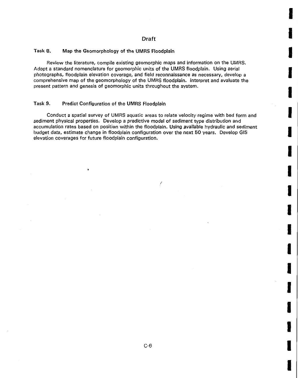**Inchester** 

**ISSUED** 

I

I

I

I

I

I

I

I

I

**I** 

**I** 

I

 $\frac{1}{2} \sum_{i=1}^n \frac{1}{2} \sum_{j=1}^n \frac{1}{2} \sum_{j=1}^n \frac{1}{2} \sum_{j=1}^n \frac{1}{2} \sum_{j=1}^n \frac{1}{2} \sum_{j=1}^n \frac{1}{2} \sum_{j=1}^n \frac{1}{2} \sum_{j=1}^n \frac{1}{2} \sum_{j=1}^n \frac{1}{2} \sum_{j=1}^n \frac{1}{2} \sum_{j=1}^n \frac{1}{2} \sum_{j=1}^n \frac{1}{2} \sum_{j=1}^n \frac{1}{2} \sum_{j=$ 

I

I

I

I

#### Task 8. Map the Geomorphology of the UMRS Floodplain

Review the literature, compile existing geomorphic maps and information on the UMRS. Adopt a standard nomenclature for geomorphic units of the UMRS floodplain. Using aerial photographs, floodplain elevation coverage, and field reconnaissance as necessary, develop a comprehensive map of the geomorphology of the UMRS floodplain. Interpret and evaluate the present pattern and genesis of geomorphic units throughout the system.

#### Task 9. Predict Configuration of the UMRS Floodplain

Conduct a spatial survey of UMRS aquatic areas to relate velocity regime with bed form and sediment physical properties. Develop a predictive model of sediment type distribution and accumulation rates based on position within the floodplain. Using available hydraulic and sediment budget data, estimate change in floodplain configuration over the next 50 years. Develop GIS elevation coverages for future floodplain configuration.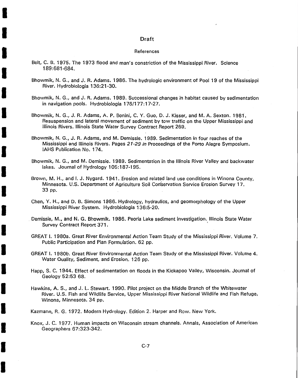#### References

Belt, C. B. 1975. The 1973 flood and man's constriction of the Mississippi River. Science 189:681 -684.

I

I

I

I

I

I

I

I

I

I

I

I

I

I

I

I

I

I

I

- Bhowmik, N. G., and J. R. Adams. 1986. The hydrologic environment of Pool 19 of the Mississippi River. Hydrobiologia 136:21 -30.
- Bhowmik, N. G., and J. R. Adams. 1989. Successional changes in habitat caused by sedimentation in navigation pools. Hydrobiologia 176/177:17-27.
- Bhowmik, N. G., J. R. Adams, A. P. Bonini, C. Y. Guo, D. J. Kisser, and M. A. Sexton. 1981. Resuspension and lateral movement of sediment by tow traffic on the Upper Mississippi and Illinois Rivers. Illinois State Water Survey Contract Report 269.
- Bhowmik, N. G., J. R. Adams, and M. Demissie. 1989. Sedimentation in four reaches of the Mississippi and Illinois Rivers. Pages 21-29 *in* Proceedings of the Porto Alegre Symposium. IAHS Publication No. 174.
- Bhowmik, N. G., and M. Demissie. 1989. Sedimentation in the Illinois River Valley and backwater lakes. Journal of Hydrology 105:187-195.
- Brown, M. H., and I. J. Nygard. 1941. Erosion and related land use conditions in Winona County, Minnesota. U.S. Department of Agriculture Soil Corfservation Service Erosion Survey 17. 33 pp.
- Chen, Y. H., and D. B. Simons 1986. Hydrology, hydraulics, and geomorphology of the Upper Mississippi River System. Hydrobiologia 136:5-20 .
- . Demissie, M., and N. G. Bhowmik. 1986. Peoria Lake sediment investigation. Illinois State Water Survey Contract Report 371.
- GREAT I. 1980a. Great River Environmental Action Team Study of the Mississippi River. Volume 7. Public Participation and Plan Formulation. 62 pp.
- GREAT I. 1980b. Great River Environmental Action Team Study of the Mississippi River. Volume 4. Water Quality, Sediment, and Erosion. 126 pp.
- Happ, S. C. 1944. Effect of sedimentation on floods in the Kickapoo Valley, Wisconsin. Journal of Geology 52:53 68.
- Hawkins, A. S., and J. L. Stewart. 1990. Pilot project on the Middle Branch of the Whitewater River. U.S. Fish and Wildlife Service, Upper Mississippi River National Wildlife and Fish Refuge, Winona, Minnesota. 34 pp.

Kazmann, R. G. 1972. Modern Hydrology. Edition 2. Harper and Row. New York.

Knox, J. C. 1977. Human impacts on Wisconsin stream channels. Annals, Association of American Geographers 67:323-342.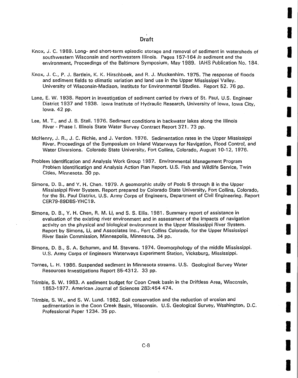**Installation** 

I

I

I

I

I

I

I

I

I

I

**I** 

 $\label{eq:1} \mathcal{L}^{\text{I}}(\mathcal{G},\mathcal{G})$ 

 $\label{eq:1} \mathcal{L}_{\mathcal{M}}(M,\mathcal{F})$ 

I

I

I

I

- Knox, J. C. 1989. Long- and short-term episodic storage and removal of sediment in watersheds of southwestern Wisconsin and northwestern Illinois. Pages 157-164 *in* sediment and the environment, Proceedings of the Baltimore Symposium, May 1989. IAHS Publication No. 184.
- Knox, J. C., P. J. Bartlein, K. K. Hirschboek, and R. J. Muckenhirn. 1975. The response of floods and sediment fields to climatic variation and land use in the Upper Mississippi Valley. University of Wisconsin-Madison, Institute for Environmental Studies. Report 52. 76 pp.
- Lane, E. W. 1938. Report in investigation of sediment carried by rivers of St. Paul, U.S. Engineer District 1937 and 1938. Iowa Institute of Hydraulic Research, University of Iowa, Iowa City, Iowa. 42 pp.
- Lee, M. T., and J. B. Stall. 1976. Sediment conditions in backwater lakes along the Illinois River - Phase I. Illinois State Water Survey Contract Report 371. 73 pp.
- McHenry, J. R., J. C. Richie, and J. Verdon. 1976. Sedimentation rates in the Upper Mississippi River. Proceedings of the Symposium on Inland Waterways for Navigation, Flood Control, and Water Diversions. Colorado State University, Fort Collins, Colorado, August 10-12, 1976.
- Problem Identification and Analysis Work Group 1987. Environmental Management Program Problem Identification and Analysis Action Plan Report. U.S. Fish and Wildlife Service, Twin Cities, Minnesota. 30 pp.
- Simons, D. B., andY. H. Chen. 1979. A geomorphic stu'dy of Pools 5 through 8 in the Upper Mississippi River System. Report prepared by Colorado State University, Fort Collins, Colorado, for the St. Paul District, U.S. Army Corps of Engineers, Department of Civil Engineering. Report CER79-89DBS-YHC19.
- Simons, D. B., Y. H. Chen, R, M. Li, and S. S. Ellis. 1981. Summary report of assistance in evaluation of the existing river environment and in assessment of the impacts of navigation activity on the physical and biological environment in the Upper Mississippi River System. Report by Simons, Li, and Associates Inc., Fort Collins Colorado, for the Upper Mississippi River Basin Commission, Minneapolis, Minnesota. 34 pp.
- Simons, D. B., S. A. Schumm, and M. Stevens. 1974. Geomorphology of the middle Mississippi. U.S. Army Corps of Engineers Waterways Experiment Station, Vicksburg, Mississippi.
- Tornes, L. H. 1986. Suspended sediment in Minnesota streams. U.S. Geological Survey Water Resources Investigations Report 85~4312 . 33 pp.
- Trimble, S. W. 1983. A sediment budget for Coon Creek basin in the Driftless Area, Wisconsin, 1853-1977. American Journal of Sciences 283:454 474.
- Trimble, S. W., and S. W. Lund. 1982. Soil conservation and the reduction of erosion and sedimentation in the Coon Creek Basin, Wisconsin. U.S. Geological Survey, Washington, D.C. Professional Paper 1234. 35 pp.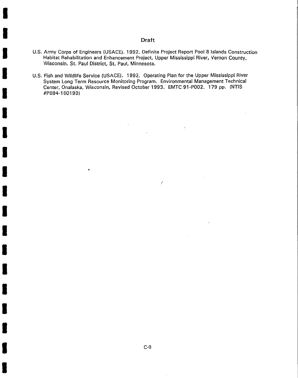I

I

I

I

I

I

I

I

I

I

I

I

I

I

I

I

I

I

I

- U.S. Army Corps of Engineers (USACE). 1992. Definite Project Report Pool 8 Islands Construction Habitat Rehabilitation and Enhancement Project, Upper Mississippi River, Vernon County, Wisconsin. St. Paul District, St. Paul, Minnesota.
- U.S. Fish and Wildlife Service (USACE). 1992. Operating Plan for the Upper Mississippi River System Long Term Resource Monitoring Program. Environmental Management Technical Center, Onalaska, Wisconsin, Revised October 1993. EMTC 91-P002. 179 pp. (NTIS #PB94-160199)

(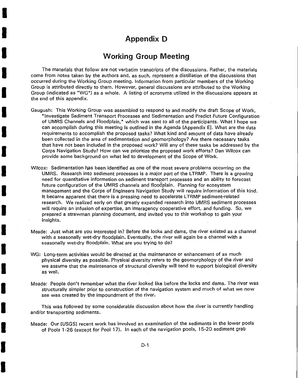# **Appendix D**

I

I

I

I

I

I

I

I

I

I

I

I

I

I

I

I

I

I

I

# **Working Group Meeting**

The materials that follow are not verbatim transcripts of the discussions. Rather, the materials come from notes taken by the authors and, as such, represent a distillation of the discussions that occurred during the Working Group meeting. Information from particular members of the Working Group is attributed directly to them. However, general discussions are attributed to the Working Group (indicated as "WG") as a whole. A listing of acronyms utilized in the discussions appears at the end of this appendix.

- Gaugush: This Working Group was assembled to respond to and modify the draft Scope of Work, "Investigate Sediment Transport Processes and Sedimentation and Predict Future Configuration of UMRS Channels and Floodplain," which was sent to all of the participants. What I hope we can accomplish during this meeting is outlined in the Agenda [Appendix E]. What are the data requirements to accomplish the proposed tasks? What kind and amount of data have already been collected in the area of sedimentation and geomorphology? Are there necessary tasks that have not been included in the proposed work? Will any of these tasks be addressed by the Corps Navigation Study? How can we prioritize the proposed work efforts? Dan Wilcox can provide some background on what led to development of the Scope of Work.
- Wilcox: Sedimentation has been identified as one of the most severe problems occurring on the UMRS. Research into sediment processes is a major part of the LTRMP. There is a growing need for quantitative information on sediment transport processes and an ability to forecast future configuration of the UMRS channels and floodplain. Planning for ecosystem management and the Corps of Engineers Navigation Study will require information of this kind. It became apparent that there is a pressing need to accelerate LTRMP sediment-related research. We realized early on that greatly expanded research into UMRS sediment processes will require an infusion of expertise, an interagency cooperative effort, and funding. So, we prepared a strawman planning document, and invited you to this workshop to gain your insights.
- Meade: Just what are you interested in? Before the locks and dams, the river existed as a channel with a seasonally wet-dry floodplain. Eventually, the river will again be a channel with a seasonally wet-dry floodplain. What are you trying to do?
- WG: Long-term activities would be directed at the maintenance or enhancement of as much physical diversity as possible. Physical diversity refers to the geomorphology of the river and we assume that the maintenance of structural diversity will tend to support biological diversity as well.
- Meade: People don't remember what the river looked like before the locks and dams. The river was structurally simpler prior to construction of the navigation system and much of what we now see was created by the impoundment of the river.

This was followed by some considerable discussion about how the river is currently handling and/or transporting sediments.

Meade: Our [USGS] recent work has involved an examination of the sediments in the lower pools of Pools 1-26 (except for Pool 17). In each of the navigation pools, 15-20 sediment grab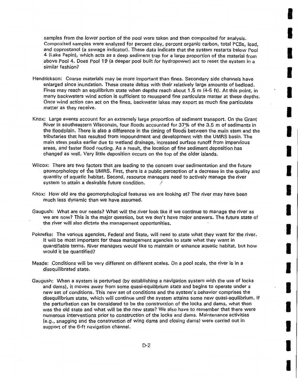samples from the lower portion of the pool were taken and then composited for analysis. Composited samples were analyzed for percent clay, percent organic carbon, total PCBs, lead, and coprostanol (a sewage indicator). These data indicate that the system restarts below Pool 4 (Lake Pepin), which acts as a deep sediment trap for a large proportion of the material from above Pool 4. Does Pool 19 (a deeper pool built for hydropower) act to reset the system in a similar fashion?

I

I

I

I

I

I

I

I

I

I

I

I

I

I

I

I

I

I

- Hendrickson: Coarse materials may be more important than fines. Secondary side channels have enlarged since inundation. These create deltas with their relatively large amounts of bedload. Fines may reach an equilibrium state when depths reach about 1.5 m (4-5 ft). At this point, in many backwaters wind action is sufficient to resuspend fine particulate matter at these depths. Once wind action can act on the fines, backwater lakes may export as much fine particulate matter as they receive.
- Knox: Large events account for an extremely large proportion of sediment transport. On the Grant River in southeastern Wisconsin, four floods accounted for 37% of the 3.5 m of sediments in the floodplain. There is also a difference in the timing of floods between the main stem and the tributaries that has resulted from impoundment and development with the UMRS basin. The main stem peaks earlier due to wetland drainage, increased surface runoff from impervious areas, and faster flood routing. As a result, the location of fine sediment deposition has changed as well. Very little deposition occurs on the top of the older islands.
- Wilcox: There are two factors that are leading to the concern over sedimentation and the future geomorphology of the UMRS. First, there is a public perception of a decrease in the quality and quantity of aquatic habitat. Second, resource managers need to actively manage the river system to attain a desirable future condition.
- Knox: How old are the geomorphological features we are looking at? The river may have been much less dynamic than we have assumed.
- Gaugush: What are our needs? What will the river look like if we continue to manage the river as we are now? This is the major question, but we don't have major answers. The future state of the river will also dictate the management opportunities.
- Pokrefke: The various agencies, Federal and State, will need to state what they want for the river. It will be most important for these management agencies to state what they want in quantifiable terms. River managers would like to maintain or enhance aquatic habitat, but how would it be quantified?
- Meade: Conditions will be very different on different scales. On a pool scale, the river is in a disequilibrated state.
- Gaugush: When a system is perturbed (by establishing a navigation system with the use of locks and dams), it moves away from some quasi-equilibrium state and begins to operate under a new set of conditions. This new set of conditions and the system's behavior comprises the disequilibrium state, which will continue until the system attains some new quasi-equilibrium. If the perturbation can be considered to be the construction of the locks and dams, what then was the old state and what will be the new state? We also have to remember that there were numerous interventions prior to construction of the locks and dams. Maintenance activities (e.g., snagging and the construction of wing dams and closing dams) were carried out in support of the 6-ft navigation channel.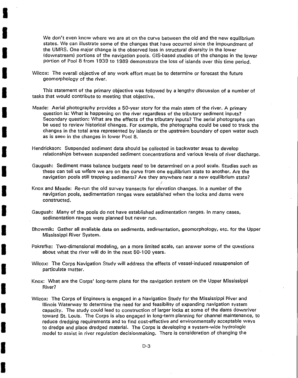We don't even know where we are at on the curve between the old and the new equilibrium states. We can illustrate some of the changes that have occurred since the impoundment of the UMRS. One major change is the observed loss in structural diversity in the lower (downstream) portions of the navigation pools. GIS-based studies of the changes in the lower portion of Pool 8 from 1939 to 1989 demonstrate the loss of islands over this time period .

Wilcox: The overall objective of any work effort must be to determine or forecast the future geomorphology of the river.

I

I

I

I

I

I

I

I

I

I

I

I

I

I

I

I

I

I

I

This statement of the primary objective was followed by a lengthy discussion of a number of tasks that would contribute to meeting that objective.

- Meade: Aerial photography provides a 50-year story for the main stem of the river. A primary question is: What is happening on the river regardless of the tributary sediment inputs? ' Secondary question: What are the effects of the tributary inputs? The aerial photographs can be used to review historical changes. For example, the photographs could be used to track the changes in the total area represented by islands or the upstream boundary of open water such as is seen in the changes in lower Pool 8.
- Hendrickson: Suspended sediment data should be collected in backwater areas to develop relationships between suspended sediment concentrations and various levels of river discharge.
- Gaugush: Sediment mass balance budgets need to be determined on a pool scale. Studies such as these can tell us wtiere we are on the curve from one equilibrium state to another. Are the navigation pools still trapping sediments? Are they anywhere near a new equilibrium state?

(

- Knox and Meade: Re-run the old survey transects for elevation changes. In a number of the navigation pools, sedimentation ranges were established when the locks and dams were constructed.
- Gaugush: Many of the pools do not have established sedimentation ranges. In many cases, sedimentation ranges were planned but never run.
- Bhowmik: Gather all available data on sediments, sedimentation, geomorphology,. etc. for the Upper Mississippi River System.
- Pokrefke: Two-dimensional modeling, on a more limited scale, can answer some of the questions about what the river will do in the next 50-1 00 years.
- Wilcox: The Corps Navigation Study will address the effects of vessel-induced resuspension of particulate matter.
- Knox: What are the Corps' long-term plans for the navigation system on the Upper Mississippi River?
- Wilcox: The Corps of Engineers is engaged in a Navigation Study for the Mississippi River and Illinois Waterway to determine the need for and feasibility of expanding navigation system capacity. The study could lead to construction of larger locks at some of the dams downriver toward St. Louis. The Corps is also engaged in long-term planning for channel maintenance, to reduce dredging requirements and to find cost-effective and environmentally acceptable ways to dredge and place dredged material. The Corps is developing a system-wide hydrologic model to assist in river regulation decisionmaking. There is consideration of changing the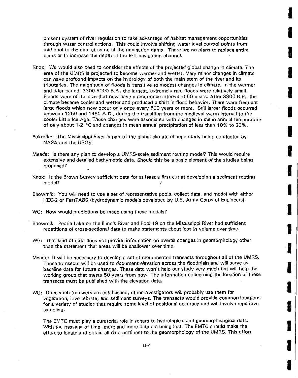present system of river regulation to take advantage of habitat management opportunities through water control actions. This could involve shifting water level control points from mid-pool to the dam at some of the navigation dams. There are no plans to replace entire dams or to increase the depth of the 9-ft navigation channel.

**Integral** 

I

**I** 

I

I

I

I

I

I

I

I

I

**·I** 

I

I

**I** 

I

I

I

- Knox: We would also need to consider the effects of the projected global change in climate. The area of the UMRS is projected to become warmer and wetter. Very minor changes in climate can have profound impacts on the hydrology of both the main stem of the river and its tributaries. The magnitude of floods is sensitive to modest changes in climate. In the warmer and drier period, 3300-5000 B.P. , the largest, extremely rare floods were relatively small. Floods were of the size that now have a recurrence interval of 50 years. After 3300 B.P., the climate became cooler and wetter and produced a shift in flood behavior. There were frequent large floods which now occur only once every 500 years or more. Still larger floods occurred between 1250 and 1450 A.D., during the transition from the medieval warm interval to the cooler Little Ice Age. These changes were associated with changes in mean annual temperature of only about 1-2  $\degree$ C and changes in mean annual precipitation of less than 10% to 20%.
- Pokrefke: The Mississippi River is part of the global climate change study being conducted by NASA and the USGS.
- Meade: Is there any plan to develop a UMRS-scale sediment routing model? This would require extensive and detailed bathymetric data. Should this be a basic element of the studies being proposed?
- Knox: Is the Brown Survey sufficient data for at least a first cut at developing a sediment routing model? 1
- Bhowmik: You will need to use a set of representative pools, collect data, and model with either HEC-2 or FastTABS (hydrodynamic models developed by U.S. Army Corps of Engineers).
- WG: How would predictions be made using these models?
- Bhowmik: Peoria Lake on the Illinois River and Pool 19 on the Mississippi River had sufficient repetitions of cross-sectional data to make statements about loss in volume over time.
- WG: That kind of data does not provide information on overall changes in geomorphology other than the statement that areas will be shallower over time.
- Meade: It will be necessary to develop a set of monumented transects throughout all of the UMRS. These transects will be used to document elevation across the floodplain and will serve as baseline data for future changes. These data won't help our study very much but will help the working group that meets 50 years from now. The information concerning the location of these transects must be published with the elevation data.
- WG: Once such transects are established, other investigators will probably use them for vegetation, invertebrate, and sediment surveys. The transects would provide common locations for a variety of studies that require some level of positional accuracy and will involve repetitive sampling.

The EMTC must play a curatorial role in regard to hydrological and geomorphological data. With the passage of time, more and more data are being lost. The EMTC should make the effort to locate and obtain all data pertinent to the geomorphology of the UMRS. This effort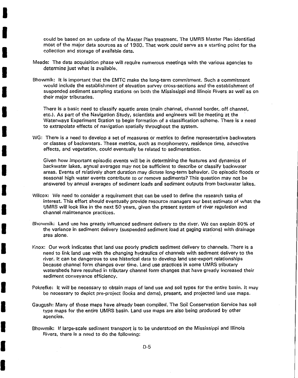could be based on an update of the Master Plan treatment. The UMRS Master Plan identified most of the major data sources as of 1980. That work could serve as a starting point for the collection and storage of available data.

Meade: The data acquisition phase will require numerous meetings with the various agencies to determine just what is available.

I

I

I

I

I

I

I

I

I

I

I

I

I

I

I

I

I

I

I

Bhowmik: It is important that the EMTC make the long-term commitment. Such a commitment would include the establishment of elevation survey cross-sections and the establishment of suspended sediment sampling stations on both the Mississippi and Illinois Rivers as well as on their major tributaries.

There is a basic need to classify aquatic areas (main channel, channel border, off channel, etc.). As part of the Navigation Study, scientists and engineers will be meeting at the ' Waterways Experiment Station to begin formation of a classification scheme. There is a need to extrapolate effects of navigation spatially throughout the system.

WG: There is a need to develop a set of measures or metrics to define representative backwaters or classes of backwaters. These metrics, such as morphometry, residence time, advective effects, and vegetation, could eventually be related to sedimentation.

Given how important episodic events will be in determining the features and dynamics of backwater lakes, annual averages may not be sufficient to describe or classify backwater areas. Events of relatively short duration may dictate long-term behavior. Do episodic floods or seasonal high water events contribute to or remove sediments? This question may not be answered by annual averages of sediment loads and sediment outputs from backwater lakes.

- Wilcox: We need to consider a requirement that can be used to define the research tasks of interest. This effort should eventually provide resource managers our best estimate of what the UMRS will look like in the next 50 years, given the present system of river regulation and channel maintenance practices.
- Bhowmik: Land use has greatly influenced sediment delivery to the river. We can explain 80% of the variance in sediment delivery (suspended sediment load at gaging stations) with drainage area alone.
- Knox: Our work indicates that land use poorly predicts sediment delivery to channels. There is a need to link land use with the changing hydraulics of channels with sediment delivery to the river. It can be dangerous to use historical data to develop land use-export relationships because channel form changes over time. Land use practices in some UMRS tributary watersheds have resulted in tributary channel form changes that have greatly increased their sediment conveyance efficiency.
- Pokrefke: It will be necessary to obtain maps of land use and soil types for the entire basin. It may be necessary to depict pre-project (locks and dams), present, and projected land use maps.
- Gaugush: Many of those maps have already been compiled. The Soil Conservation Service has soil type maps for the entire UMRS basin. Land use maps are also being produced by other agencies.
- Bhowmik: If large-scale sediment transport is to be understood on the Mississippi and Illinois Rivers, there is a need to do the following: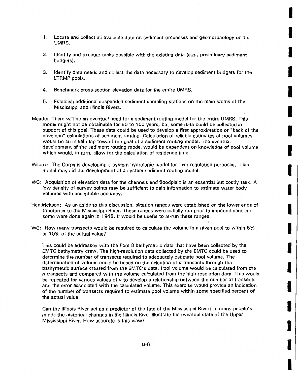1. Locate and collect all available data on sediment processes and geomorphology of the UMRS.

I

I

I

I

I

I

I

I

I

I

I

I

I

I

I

I

I

I

I

- 2. Identify and execute tasks possible with the existing data (e.g., preliminary sediment budgets).
- 3. Identify data needs and collect the data necessary to develop sediment budgets for the LTRMP pools.
- 4. Benchmark cross-section elevation data for the entire UMRS.
- 5. Establish additional suspended sediment sampling stations on the main stems of the Mississippi and Illinois Rivers.
- Meade: There will be an eventual need for a sediment routing model for the entire UMRS. This model might not be obtainable for 50 to 1 00 years, but some data could be collected in support of this goal. These data could be used to develop a first approximation or "back of the envelope" calculations of sediment routing. Calculation of reliable estimates of pool volumes would be an initial step toward the goal of a sediment routing model. The eventual development of the sediment routing model would be dependent on knowledge of pool volume which would, in turn, allow for the calculation of residence time.
- Wilcox: The Corps is developing a system hydrologic model for river regulation purposes. This model may aid the development of a system sediment routing model.
- WG: Acquisition of elevation data for the channels and floodplain is an essential but costly task. A low density of survey points may be sufficient to gain information to estimate water body volumes with acceptable accuracy.
- Hendrickson: As an aside to this discussion, siltation ranges were established on the lower ends of tributaries to the Mississippi River. These ranges were initially run prior to impoundment and some were done again in 1945. It would be useful to re-run these ranges.
- WG: How many transects would be required to calculate the volume in a given pool to within 5% or 10% of the actual value?

This could be addressed with the Pool 8 bathymetric data that have been collected by the EMTC bathymetry crew. The high-resolution data collected by the EMTC could be used to determine the number of transects required to adequately estimate pool volume. The determination of volume could be based on the selection of *n* transects through the bathymetric surface created from the EMTC's data. Pool volume would be calculated from the *n* transects and compared with the volume calculated from the high resolution data. This would be repeated for various values of *n* to develop a relationship between the number of transects and the error associated with the calculated volume. This exercise would provide an indication of the number of transects required to estimate pool volume within some specified percent of the actual value.

Can the Illinois River act as a predictor of the fate of the Mississippi River? In many people's minds the historical changes in the Illinois River illustrate the eventual state of the Upper Mississippi River. How accurate is this view?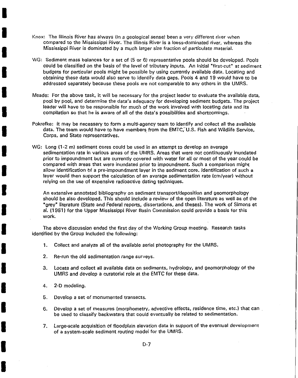- Knox: The Illinois River has always (in a geological sense) been a very different river when compared to the Mississippi River. The Illinois River is a loess-dominated river, whereas the Mississippi River is dominated by a much larger size fraction of particulate material.
- WG: Sediment mass balances for a set of (5 or 6) representative pools should be developed. Pools could be classified on the basis of the level of tributary inputs. An initial "first-cut" at sediment budgets for particular pools might be possible by using currently available data. Locating and obtaining these data would also serve to identify data gaps. Pools 4 and 19 would have to be addressed separately because these pools are not comparable to any others in the UMRS.
- Meade: For the above task, it will be necessary for the project leader to evaluate the available data, pool by pool, and determine the *data's* adequacy for developing sediment budgets. The project leader will have to be responsible for much of the work involved with locating data and its compilation so that he is aware of all of the *data's* possibilities and shortcomings.
- Pokrefke: It may be necessary to form a multi-agency team to identify and collect all the available data. The team would have to have members from the EMTC, U.S. Fish and Wildlife Service, Corps, and State representatives.
- WG: Long (1-2 m) sediment cores could be used in an attempt to develop an average sedimentation rate in various areas of the UMRS. Areas that were not continuously inundated prior to impoundment but are currently covered with water for all or most of the year could be compared with areas that were inundated prior to impoundment. Such a comparison might allow identification of a pre-impoundment layer in the sediment core. Identification of such a layer would then support the calculation of an average sedimentation rate (em/year) without relying on the use of expensive radioactive dating techniques.

An extensive annotated bibliography on sediment transport/deposition and geomorphology should be also developed. This should include a review of the open literature as well as of the "grey" literature (State and Federal reports, dissertations, and theses). The work of Simons et al. (1981) for the Upper Mississippi River Basin Commission could provide a basis for this work.

The above discussion ended the first day of the Working Group meeting. Research tasks identified by the Group included the following:

- 1. Collect and analyze all of the available aerial photography for the UMRS.
- 2. Re-run the old sedimentation range surveys.
- 3. Locate and collect all available data on sediments, hydrology, and geomorphology of the UMRS and develop a curatorial role at the EMTC for these data.
- 4. 2-D modeling.

I

I

I

I

I

I

I

I

I

I

I

I

I

I

I

I

I

I

- 5. Develop a set of monumented transects.
- 6. Develop a set of measures (morphometry, advective effects, residence time, etc.) that can be used to classify backwaters that could eventually be related to sedimentation.
- 7. Large-scale acquisition of floodplain elevation data in support of the eventual development of a system-scale sediment routing model for the UMRS.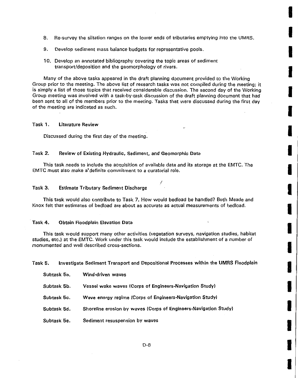8. Re-survey the siltation ranges on the lower ends of tributaries emptying into the UMRS.

I

I

I

I

I

I

I

I

**in** 

I

I

I

I

**Inchester** 

I

I

**I** 

I

I

- 9. Develop sediment mass balance budgets for representative pools.
- 10. Develop an annotated bibliography covering the topic areas of sediment transport/deposition and the geomorphology of rivers .

Many of the above tasks appeared in the draft planning document provided to the Working Group prior to the meeting. The above list of research tasks was not compiled during the meeting; it is simply a list of those topics that received considerable discussion. The second day of the Working Group meeting was involved with a task-by-task discussion of the draft planning document that had been sent to all of the members prior to the meeting. Tasks that were discussed during the first day of the meeting are indicated as such.

#### Task 1. Literature Review

Discussed during the first day of the meeting.

#### Task 2. Review of Existing Hydraulic, Sediment, and Geomorphic Data

This task needs to include the acquisition of available data and its storage at the EMTC. The EMTC must also make a•definite commitment to a curatorial role.

I

#### Task 3. Estimate Tributary Sediment Discharge

This task would also contribute to Task 7. How would bedload be handled? Both Meade and Knox felt that estimates of bedload are about as accurate as actual measurements of bedload.

#### Task 4. Obtain Floodplain Elevation Data

This task would support many other activities (vegetation surveys, navigation studies, habitat studies, etc.) at the EMTC. Work under this task would include the establishment of a number of monumented and well described cross-sections.

Task 5. Investigate Sediment Transport and Depositional Processes within the UMRS Floodplain

| Subtask 5a. | Wind-driven waves                                                |
|-------------|------------------------------------------------------------------|
| Subtask 5b. | Vessel wake waves (Corps of Engineers-Navigation Study)          |
| Subtask 5c. | Wave energy regime (Corps of Engineers-Navigation Study)         |
| Subtask 5d. | Shoreline erosion by waves (Corps of Engineers-Navigation Study) |
| Subtask 5e. | Sediment resuspension by waves                                   |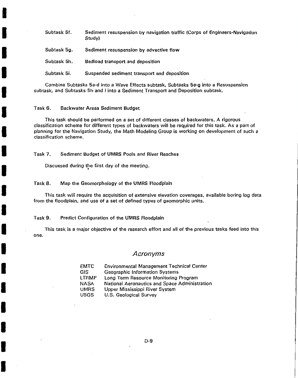Subtask 5f. Sediment resuspension by navigation traffic (Corps of Engineers-Navigation Study)

Subtask 5g. Sediment resuspension by advective flow

Subtask 5h. Bedload transport and deposition

Subtask 5i. Suspended sediment transport and deposition

Combine Subtasks 5a-d into a Wave Effects subtask, Subtasks 5e-g into a Resuspension subtask, and Subtasks 5h and i into a Sediment Transport and Deposition subtask.

#### Task 6. Backwater Areas Sediment Budget

I

I

I

I

I

I

I

I

I

I

I

I

I

I

I

I

I

I

I

This task should be performed on a set of different classes of backwaters. A rigorous classification scheme for different types of backwaters will be reqyired for this task. As a part of planning for the Navigation Study, the Math Modeling Group is working on development of such a classification scheme.

Task 7. Sediment Budget of UMRS Pools and River Reaches

Discussed during the first day of the meeting. •

#### Task 8. Map the Geomorphology of the UMRS Floodplain

This task will require the acquisition of extensive elevation coverages, available boring log data from the floodplain, and use of a set of defined types of geomorphic units.

#### Task 9. Predict Configuration of the UMRS Floodplain

This task is a major objective of the research effort and all of the previous tasks feed into this one.

#### Acronyms

| <b>EMTC</b>  | <b>Environmental Management Technical Center</b> |
|--------------|--------------------------------------------------|
| <b>GIS</b>   | Geographic Information Systems                   |
| <b>LTRMP</b> | Long Term Resource Monitoring Program            |
| <b>NASA</b>  | National Aeronautics and Space Administration    |
| <b>UMRS</b>  | Upper Mississippi River System                   |
| <b>USGS</b>  | U.S. Geological Survey                           |

D-9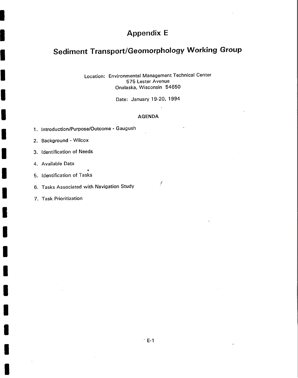# **Appendix E**

# **Sediment Transport/Geomorphology Working Group**

Location: Environmental Management Technical Center 575 Lester Avenue Onalaska, Wisconsin 54650

Date: January 19-20, 1994

#### AGENDA

- 1. Introduction/Purpose/Outcome Gaugush
- 2. Background Wilcox
- 3. Identification of Needs
- 4. Available Data

I

I

I

I

I

I

I

I

I

I

I

I

I

I

I

I

I

I

- 5. Identification of Tasks
- 6. Tasks Associated with Navigation Study
- 7. Task Prioritization